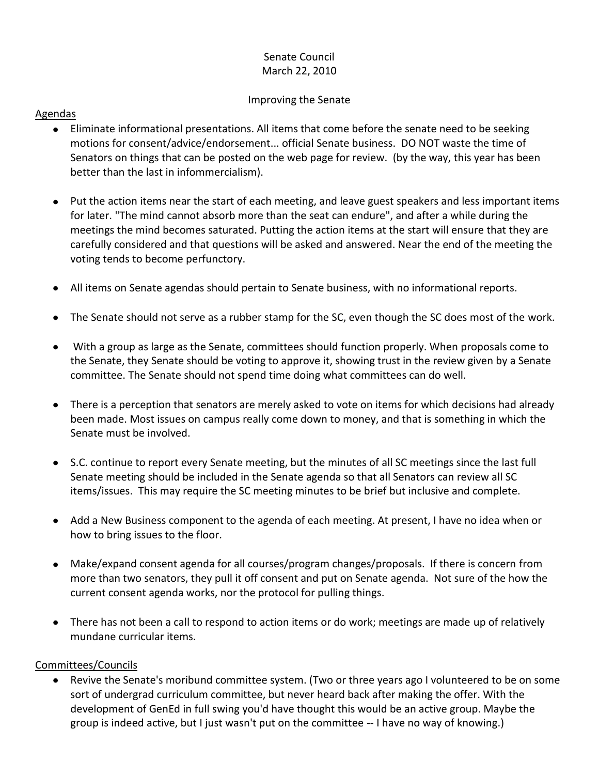# Senate Council March 22, 2010

### Improving the Senate

## Agendas

- Eliminate informational presentations. All items that come before the senate need to be seeking motions for consent/advice/endorsement... official Senate business. DO NOT waste the time of Senators on things that can be posted on the web page for review. (by the way, this year has been better than the last in infommercialism).
- Put the action items near the start of each meeting, and leave guest speakers and less important items for later. "The mind cannot absorb more than the seat can endure", and after a while during the meetings the mind becomes saturated. Putting the action items at the start will ensure that they are carefully considered and that questions will be asked and answered. Near the end of the meeting the voting tends to become perfunctory.
- All items on Senate agendas should pertain to Senate business, with no informational reports.
- The Senate should not serve as a rubber stamp for the SC, even though the SC does most of the work.
- With a group as large as the Senate, committees should function properly. When proposals come to the Senate, they Senate should be voting to approve it, showing trust in the review given by a Senate committee. The Senate should not spend time doing what committees can do well.
- There is a perception that senators are merely asked to vote on items for which decisions had already been made. Most issues on campus really come down to money, and that is something in which the Senate must be involved.
- $\bullet$ S.C. continue to report every Senate meeting, but the minutes of all SC meetings since the last full Senate meeting should be included in the Senate agenda so that all Senators can review all SC items/issues. This may require the SC meeting minutes to be brief but inclusive and complete.
- Add a New Business component to the agenda of each meeting. At present, I have no idea when or how to bring issues to the floor.
- Make/expand consent agenda for all courses/program changes/proposals. If there is concern from more than two senators, they pull it off consent and put on Senate agenda. Not sure of the how the current consent agenda works, nor the protocol for pulling things.
- There has not been a call to respond to action items or do work; meetings are made up of relatively mundane curricular items.

### Committees/Councils

Revive the Senate's moribund committee system. (Two or three years ago I volunteered to be on some  $\bullet$ sort of undergrad curriculum committee, but never heard back after making the offer. With the development of GenEd in full swing you'd have thought this would be an active group. Maybe the group is indeed active, but I just wasn't put on the committee -- I have no way of knowing.)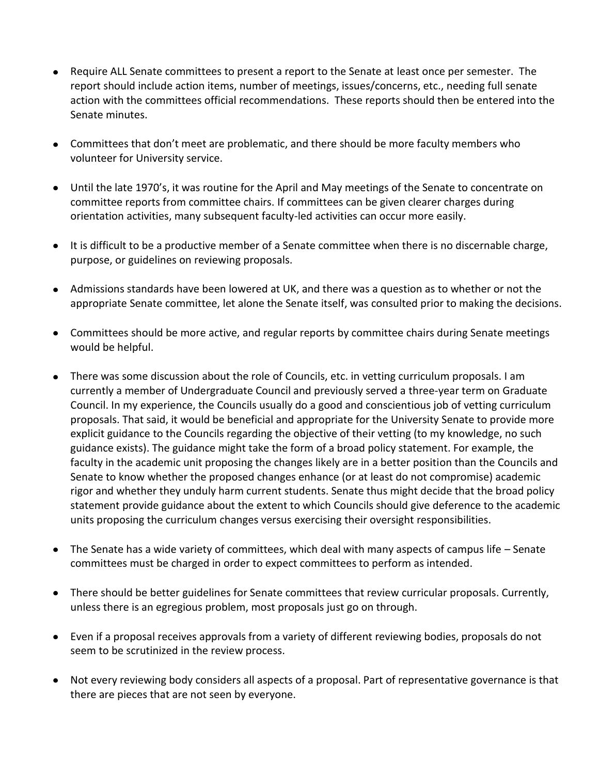- Require ALL Senate committees to present a report to the Senate at least once per semester. The report should include action items, number of meetings, issues/concerns, etc., needing full senate action with the committees official recommendations. These reports should then be entered into the Senate minutes.
- Committees that don't meet are problematic, and there should be more faculty members who volunteer for University service.
- Until the late 1970's, it was routine for the April and May meetings of the Senate to concentrate on committee reports from committee chairs. If committees can be given clearer charges during orientation activities, many subsequent faculty-led activities can occur more easily.
- It is difficult to be a productive member of a Senate committee when there is no discernable charge, purpose, or guidelines on reviewing proposals.
- Admissions standards have been lowered at UK, and there was a question as to whether or not the appropriate Senate committee, let alone the Senate itself, was consulted prior to making the decisions.
- Committees should be more active, and regular reports by committee chairs during Senate meetings would be helpful.
- There was some discussion about the role of Councils, etc. in vetting curriculum proposals. I am currently a member of Undergraduate Council and previously served a three-year term on Graduate Council. In my experience, the Councils usually do a good and conscientious job of vetting curriculum proposals. That said, it would be beneficial and appropriate for the University Senate to provide more explicit guidance to the Councils regarding the objective of their vetting (to my knowledge, no such guidance exists). The guidance might take the form of a broad policy statement. For example, the faculty in the academic unit proposing the changes likely are in a better position than the Councils and Senate to know whether the proposed changes enhance (or at least do not compromise) academic rigor and whether they unduly harm current students. Senate thus might decide that the broad policy statement provide guidance about the extent to which Councils should give deference to the academic units proposing the curriculum changes versus exercising their oversight responsibilities.
- The Senate has a wide variety of committees, which deal with many aspects of campus life Senate committees must be charged in order to expect committees to perform as intended.
- There should be better guidelines for Senate committees that review curricular proposals. Currently, unless there is an egregious problem, most proposals just go on through.
- Even if a proposal receives approvals from a variety of different reviewing bodies, proposals do not seem to be scrutinized in the review process.
- Not every reviewing body considers all aspects of a proposal. Part of representative governance is that there are pieces that are not seen by everyone.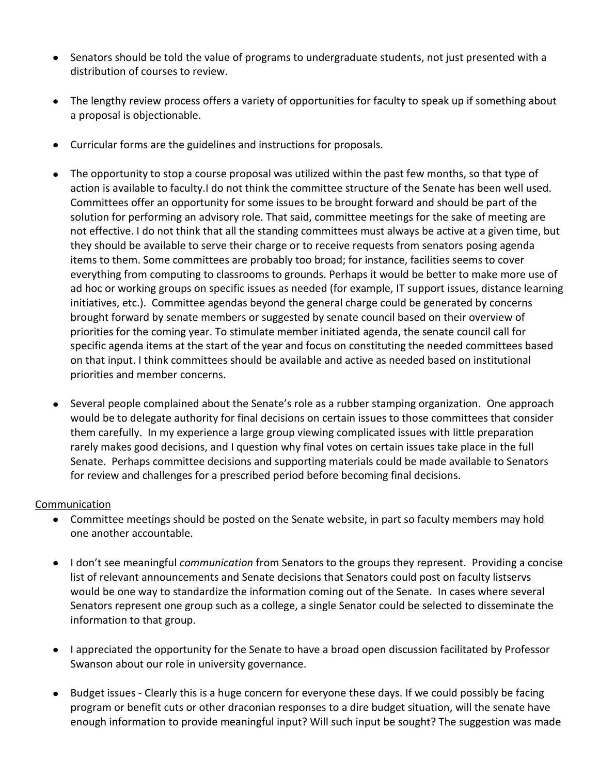- Senators should be told the value of programs to undergraduate students, not just presented with a distribution of courses to review.
- The lengthy review process offers a variety of opportunities for faculty to speak up if something about a proposal is objectionable.
- Curricular forms are the guidelines and instructions for proposals.
- The opportunity to stop a course proposal was utilized within the past few months, so that type of  $\bullet$ action is available to faculty.I do not think the committee structure of the Senate has been well used. Committees offer an opportunity for some issues to be brought forward and should be part of the solution for performing an advisory role. That said, committee meetings for the sake of meeting are not effective. I do not think that all the standing committees must always be active at a given time, but they should be available to serve their charge or to receive requests from senators posing agenda items to them. Some committees are probably too broad; for instance, facilities seems to cover everything from computing to classrooms to grounds. Perhaps it would be better to make more use of ad hoc or working groups on specific issues as needed (for example, IT support issues, distance learning initiatives, etc.). Committee agendas beyond the general charge could be generated by concerns brought forward by senate members or suggested by senate council based on their overview of priorities for the coming year. To stimulate member initiated agenda, the senate council call for specific agenda items at the start of the year and focus on constituting the needed committees based on that input. I think committees should be available and active as needed based on institutional priorities and member concerns.
- Several people complained about the Senate's role as a rubber stamping organization. One approach would be to delegate authority for final decisions on certain issues to those committees that consider them carefully. In my experience a large group viewing complicated issues with little preparation rarely makes good decisions, and I question why final votes on certain issues take place in the full Senate. Perhaps committee decisions and supporting materials could be made available to Senators for review and challenges for a prescribed period before becoming final decisions.

#### Communication

- Committee meetings should be posted on the Senate website, in part so faculty members may hold one another accountable.
- I don't see meaningful *communication* from Senators to the groups they represent. Providing a concise list of relevant announcements and Senate decisions that Senators could post on faculty listservs would be one way to standardize the information coming out of the Senate. In cases where several Senators represent one group such as a college, a single Senator could be selected to disseminate the information to that group.
- I appreciated the opportunity for the Senate to have a broad open discussion facilitated by Professor Swanson about our role in university governance.
- Budget issues Clearly this is a huge concern for everyone these days. If we could possibly be facing program or benefit cuts or other draconian responses to a dire budget situation, will the senate have enough information to provide meaningful input? Will such input be sought? The suggestion was made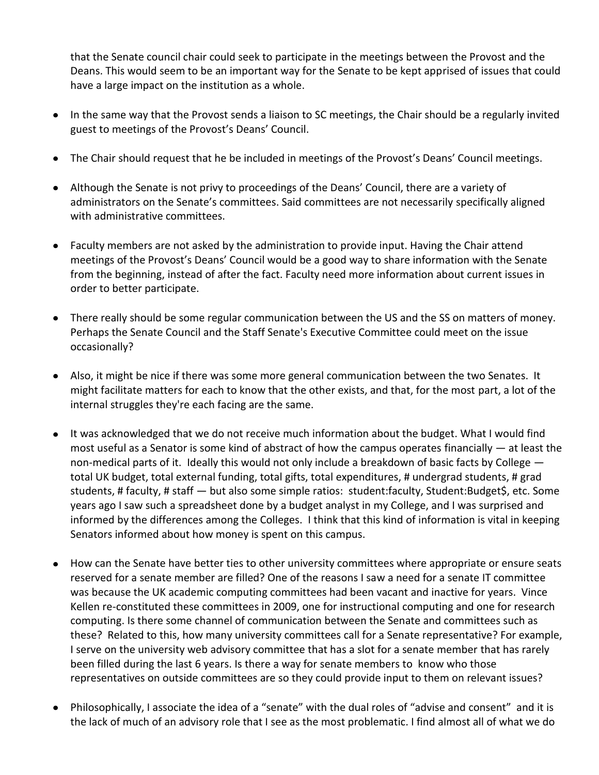that the Senate council chair could seek to participate in the meetings between the Provost and the Deans. This would seem to be an important way for the Senate to be kept apprised of issues that could have a large impact on the institution as a whole.

- In the same way that the Provost sends a liaison to SC meetings, the Chair should be a regularly invited guest to meetings of the Provost's Deans' Council.
- The Chair should request that he be included in meetings of the Provost's Deans' Council meetings.  $\bullet$
- Although the Senate is not privy to proceedings of the Deans' Council, there are a variety of administrators on the Senate's committees. Said committees are not necessarily specifically aligned with administrative committees.
- $\bullet$ Faculty members are not asked by the administration to provide input. Having the Chair attend meetings of the Provost's Deans' Council would be a good way to share information with the Senate from the beginning, instead of after the fact. Faculty need more information about current issues in order to better participate.
- There really should be some regular communication between the US and the SS on matters of money. Perhaps the Senate Council and the Staff Senate's Executive Committee could meet on the issue occasionally?
- Also, it might be nice if there was some more general communication between the two Senates. It might facilitate matters for each to know that the other exists, and that, for the most part, a lot of the internal struggles they're each facing are the same.
- It was acknowledged that we do not receive much information about the budget. What I would find  $\bullet$ most useful as a Senator is some kind of abstract of how the campus operates financially — at least the non-medical parts of it. Ideally this would not only include a breakdown of basic facts by College total UK budget, total external funding, total gifts, total expenditures, # undergrad students, # grad students, # faculty, # staff — but also some simple ratios: student:faculty, Student:Budget\$, etc. Some years ago I saw such a spreadsheet done by a budget analyst in my College, and I was surprised and informed by the differences among the Colleges. I think that this kind of information is vital in keeping Senators informed about how money is spent on this campus.
- $\bullet$ How can the Senate have better ties to other university committees where appropriate or ensure seats reserved for a senate member are filled? One of the reasons I saw a need for a senate IT committee was because the UK academic computing committees had been vacant and inactive for years. Vince Kellen re-constituted these committees in 2009, one for instructional computing and one for research computing. Is there some channel of communication between the Senate and committees such as these? Related to this, how many university committees call for a Senate representative? For example, I serve on the university web advisory committee that has a slot for a senate member that has rarely been filled during the last 6 years. Is there a way for senate members to know who those representatives on outside committees are so they could provide input to them on relevant issues?
- Philosophically, I associate the idea of a "senate" with the dual roles of "advise and consent" and it is the lack of much of an advisory role that I see as the most problematic. I find almost all of what we do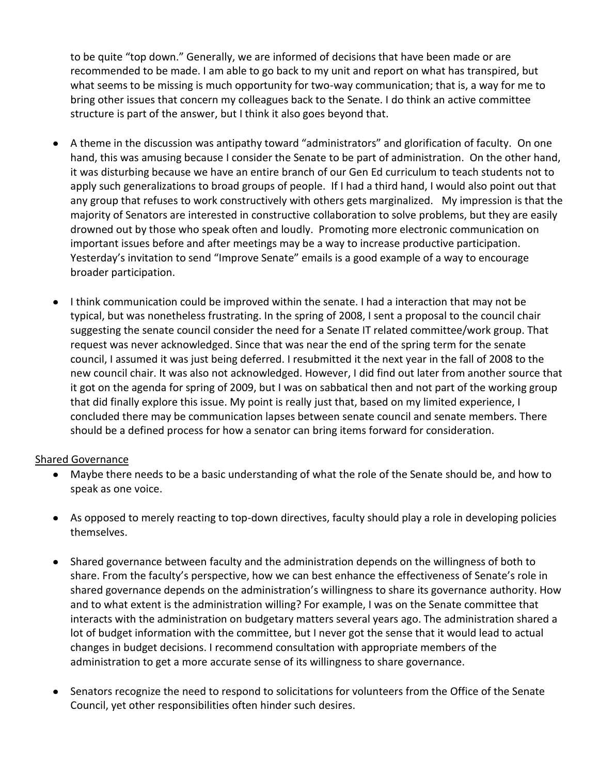to be quite "top down." Generally, we are informed of decisions that have been made or are recommended to be made. I am able to go back to my unit and report on what has transpired, but what seems to be missing is much opportunity for two-way communication; that is, a way for me to bring other issues that concern my colleagues back to the Senate. I do think an active committee structure is part of the answer, but I think it also goes beyond that.

- $\bullet$ A theme in the discussion was antipathy toward "administrators" and glorification of faculty. On one hand, this was amusing because I consider the Senate to be part of administration. On the other hand, it was disturbing because we have an entire branch of our Gen Ed curriculum to teach students not to apply such generalizations to broad groups of people. If I had a third hand, I would also point out that any group that refuses to work constructively with others gets marginalized. My impression is that the majority of Senators are interested in constructive collaboration to solve problems, but they are easily drowned out by those who speak often and loudly. Promoting more electronic communication on important issues before and after meetings may be a way to increase productive participation. Yesterday's invitation to send "Improve Senate" emails is a good example of a way to encourage broader participation.
- I think communication could be improved within the senate. I had a interaction that may not be typical, but was nonetheless frustrating. In the spring of 2008, I sent a proposal to the council chair suggesting the senate council consider the need for a Senate IT related committee/work group. That request was never acknowledged. Since that was near the end of the spring term for the senate council, I assumed it was just being deferred. I resubmitted it the next year in the fall of 2008 to the new council chair. It was also not acknowledged. However, I did find out later from another source that it got on the agenda for spring of 2009, but I was on sabbatical then and not part of the working group that did finally explore this issue. My point is really just that, based on my limited experience, I concluded there may be communication lapses between senate council and senate members. There should be a defined process for how a senator can bring items forward for consideration.

#### Shared Governance

- Maybe there needs to be a basic understanding of what the role of the Senate should be, and how to speak as one voice.
- As opposed to merely reacting to top-down directives, faculty should play a role in developing policies themselves.
- Shared governance between faculty and the administration depends on the willingness of both to share. From the faculty's perspective, how we can best enhance the effectiveness of Senate's role in shared governance depends on the administration's willingness to share its governance authority. How and to what extent is the administration willing? For example, I was on the Senate committee that interacts with the administration on budgetary matters several years ago. The administration shared a lot of budget information with the committee, but I never got the sense that it would lead to actual changes in budget decisions. I recommend consultation with appropriate members of the administration to get a more accurate sense of its willingness to share governance.
- Senators recognize the need to respond to solicitations for volunteers from the Office of the Senate  $\bullet$ Council, yet other responsibilities often hinder such desires.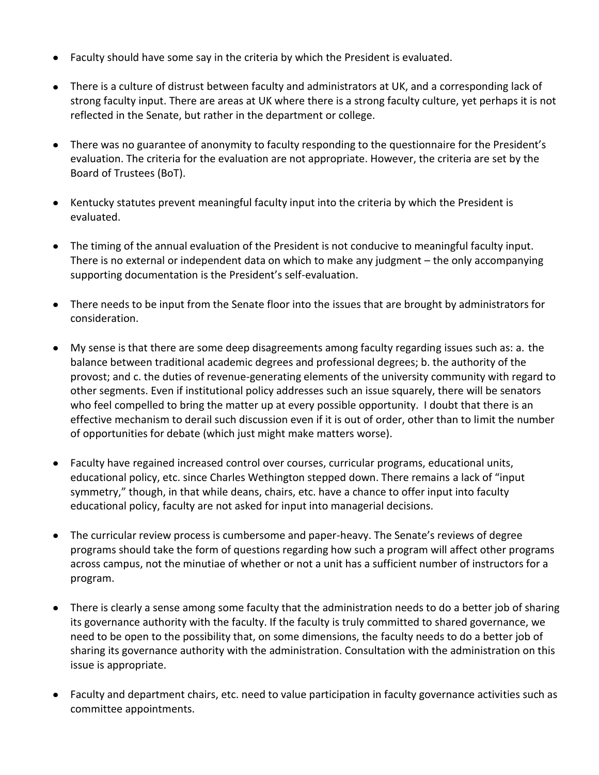- Faculty should have some say in the criteria by which the President is evaluated.
- There is a culture of distrust between faculty and administrators at UK, and a corresponding lack of strong faculty input. There are areas at UK where there is a strong faculty culture, yet perhaps it is not reflected in the Senate, but rather in the department or college.
- There was no guarantee of anonymity to faculty responding to the questionnaire for the President's evaluation. The criteria for the evaluation are not appropriate. However, the criteria are set by the Board of Trustees (BoT).
- Kentucky statutes prevent meaningful faculty input into the criteria by which the President is evaluated.
- The timing of the annual evaluation of the President is not conducive to meaningful faculty input. There is no external or independent data on which to make any judgment – the only accompanying supporting documentation is the President's self-evaluation.
- There needs to be input from the Senate floor into the issues that are brought by administrators for consideration.
- My sense is that there are some deep disagreements among faculty regarding issues such as: a. the balance between traditional academic degrees and professional degrees; b. the authority of the provost; and c. the duties of revenue-generating elements of the university community with regard to other segments. Even if institutional policy addresses such an issue squarely, there will be senators who feel compelled to bring the matter up at every possible opportunity. I doubt that there is an effective mechanism to derail such discussion even if it is out of order, other than to limit the number of opportunities for debate (which just might make matters worse).
- Faculty have regained increased control over courses, curricular programs, educational units, educational policy, etc. since Charles Wethington stepped down. There remains a lack of "input symmetry," though, in that while deans, chairs, etc. have a chance to offer input into faculty educational policy, faculty are not asked for input into managerial decisions.
- The curricular review process is cumbersome and paper-heavy. The Senate's reviews of degree programs should take the form of questions regarding how such a program will affect other programs across campus, not the minutiae of whether or not a unit has a sufficient number of instructors for a program.
- There is clearly a sense among some faculty that the administration needs to do a better job of sharing its governance authority with the faculty. If the faculty is truly committed to shared governance, we need to be open to the possibility that, on some dimensions, the faculty needs to do a better job of sharing its governance authority with the administration. Consultation with the administration on this issue is appropriate.
- Faculty and department chairs, etc. need to value participation in faculty governance activities such as committee appointments.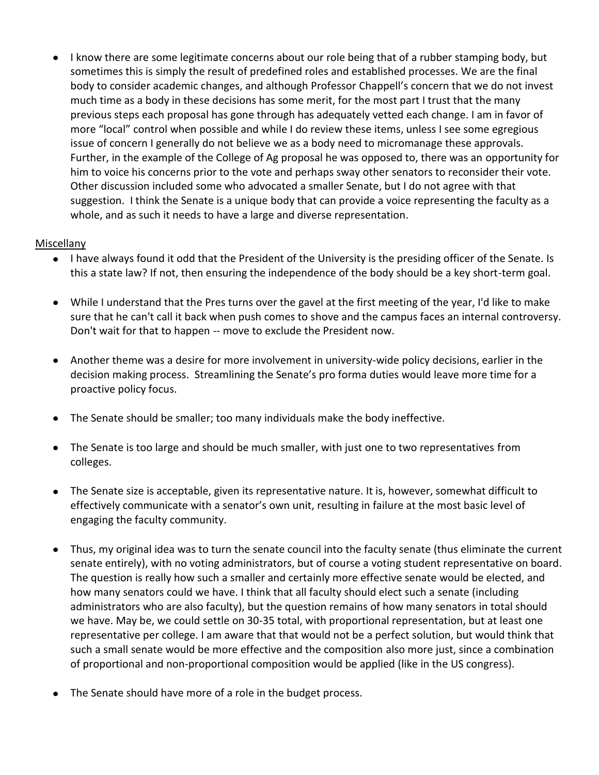• I know there are some legitimate concerns about our role being that of a rubber stamping body, but sometimes this is simply the result of predefined roles and established processes. We are the final body to consider academic changes, and although Professor Chappell's concern that we do not invest much time as a body in these decisions has some merit, for the most part I trust that the many previous steps each proposal has gone through has adequately vetted each change. I am in favor of more "local" control when possible and while I do review these items, unless I see some egregious issue of concern I generally do not believe we as a body need to micromanage these approvals. Further, in the example of the College of Ag proposal he was opposed to, there was an opportunity for him to voice his concerns prior to the vote and perhaps sway other senators to reconsider their vote. Other discussion included some who advocated a smaller Senate, but I do not agree with that suggestion. I think the Senate is a unique body that can provide a voice representing the faculty as a whole, and as such it needs to have a large and diverse representation.

#### Miscellany

- I have always found it odd that the President of the University is the presiding officer of the Senate. Is this a state law? If not, then ensuring the independence of the body should be a key short-term goal.
- While I understand that the Pres turns over the gavel at the first meeting of the year, I'd like to make sure that he can't call it back when push comes to shove and the campus faces an internal controversy. Don't wait for that to happen -- move to exclude the President now.
- Another theme was a desire for more involvement in university-wide policy decisions, earlier in the decision making process. Streamlining the Senate's pro forma duties would leave more time for a proactive policy focus.
- $\bullet$ The Senate should be smaller; too many individuals make the body ineffective.
- The Senate is too large and should be much smaller, with just one to two representatives from colleges.
- The Senate size is acceptable, given its representative nature. It is, however, somewhat difficult to effectively communicate with a senator's own unit, resulting in failure at the most basic level of engaging the faculty community.
- Thus, my original idea was to turn the senate council into the faculty senate (thus eliminate the current senate entirely), with no voting administrators, but of course a voting student representative on board. The question is really how such a smaller and certainly more effective senate would be elected, and how many senators could we have. I think that all faculty should elect such a senate (including administrators who are also faculty), but the question remains of how many senators in total should we have. May be, we could settle on 30-35 total, with proportional representation, but at least one representative per college. I am aware that that would not be a perfect solution, but would think that such a small senate would be more effective and the composition also more just, since a combination of proportional and non-proportional composition would be applied (like in the US congress).
- The Senate should have more of a role in the budget process.